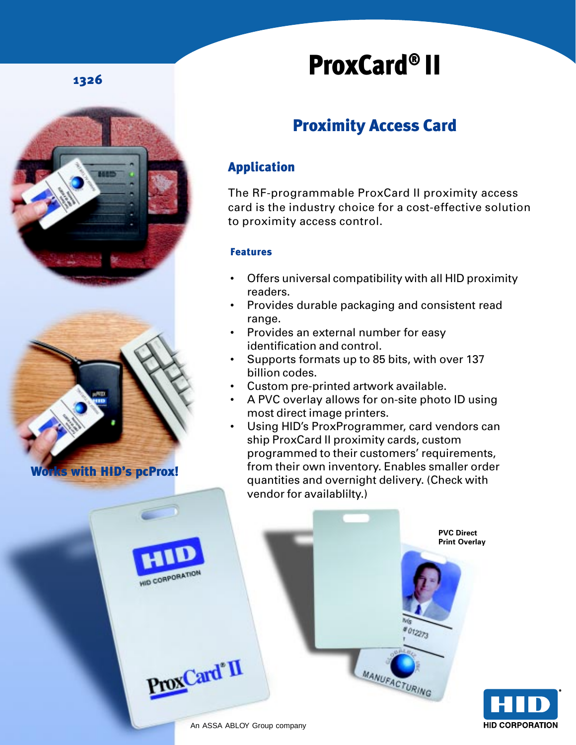### 1326



# ProxCard® II

# Proximity Access Card

## Application

The RF-programmable ProxCard II proximity access card is the industry choice for a cost-effective solution to proximity access control.

#### Features

- Offers universal compatibility with all HID proximity readers.
- Provides durable packaging and consistent read range.
- Provides an external number for easy identification and control.
- Supports formats up to 85 bits, with over 137 billion codes.
- Custom pre-printed artwork available.
- A PVC overlay allows for on-site photo ID using most direct image printers.
- Using HID's ProxProgrammer, card vendors can ship ProxCard II proximity cards, custom programmed to their customers' requirements, from their own inventory. Enables smaller order quantities and overnight delivery. (Check with vendor for availablilty.)

HID CORPORATION

ProxCard<sup>®</sup>II

**PVC Direct Print Overlay**

012273

**MANUFACTURING**